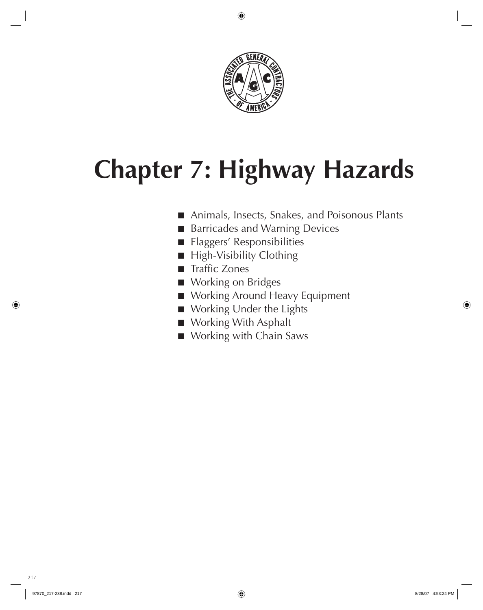

## **Chapter 7: Highway Hazards**

- Animals, Insects, Snakes, and Poisonous Plants
- Barricades and Warning Devices
- Flaggers' Responsibilities
- High-Visibility Clothing
- Traffic Zones
- Working on Bridges
- Working Around Heavy Equipment
- Working Under the Lights
- Working With Asphalt
- Working with Chain Saws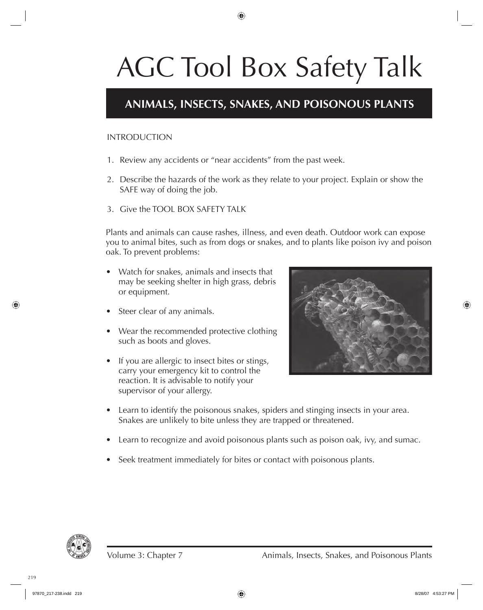### **ANIMALS, INSECTS, SNAKES, AND POISONOUS PLANTS**

#### INTRODUCTION

- 1. Review any accidents or "near accidents" from the past week.
- 2. Describe the hazards of the work as they relate to your project. Explain or show the SAFE way of doing the job.
- 3. Give the TOOL BOX SAFETY TALK

Plants and animals can cause rashes, illness, and even death. Outdoor work can expose you to animal bites, such as from dogs or snakes, and to plants like poison ivy and poison oak. To prevent problems:

- Watch for snakes, animals and insects that may be seeking shelter in high grass, debris or equipment.
- Steer clear of any animals. •
- Wear the recommended protective clothing such as boots and gloves.
- If you are allergic to insect bites or stings, carry your emergency kit to control the reaction. It is advisable to notify your supervisor of your allergy.



- Learn to identify the poisonous snakes, spiders and stinging insects in your area. Snakes are unlikely to bite unless they are trapped or threatened.
- Learn to recognize and avoid poisonous plants such as poison oak, ivy, and sumac. •
- Seek treatment immediately for bites or contact with poisonous plants. •

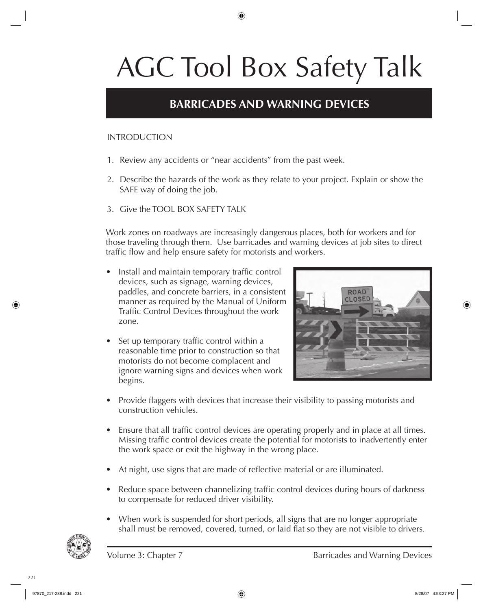### **BARRICADES AND WARNING DEVICES**

#### INTRODUCTION

- 1. Review any accidents or "near accidents" from the past week.
- 2. Describe the hazards of the work as they relate to your project. Explain or show the SAFE way of doing the job.
- 3. Give the TOOL BOX SAFETY TALK

Work zones on roadways are increasingly dangerous places, both for workers and for those traveling through them. Use barricades and warning devices at job sites to direct traffic flow and help ensure safety for motorists and workers.

- Install and maintain temporary traffic control devices, such as signage, warning devices, paddles, and concrete barriers, in a consistent manner as required by the Manual of Uniform Traffic Control Devices throughout the work zone. •
- Set up temporary traffic control within a reasonable time prior to construction so that motorists do not become complacent and ignore warning signs and devices when work begins. •



- Provide flaggers with devices that increase their visibility to passing motorists and construction vehicles. •
- Ensure that all traffic control devices are operating properly and in place at all times. Missing traffic control devices create the potential for motorists to inadvertently enter the work space or exit the highway in the wrong place.
- At night, use signs that are made of reflective material or are illuminated. •
- Reduce space between channelizing traffic control devices during hours of darkness to compensate for reduced driver visibility.
- When work is suspended for short periods, all signs that are no longer appropriate shall must be removed, covered, turned, or laid flat so they are not visible to drivers. •

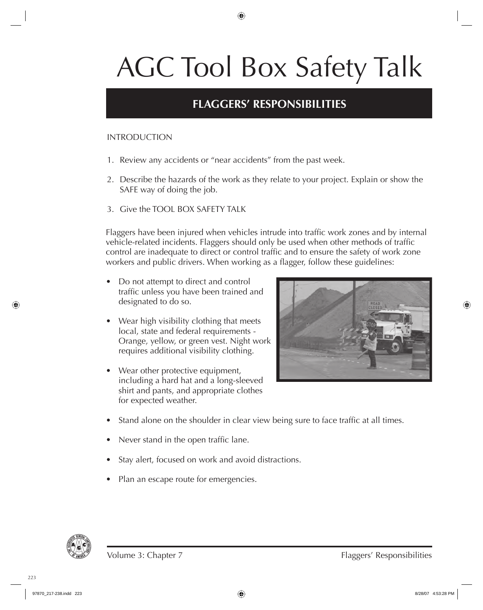### **FLAGGERS' RESPONSIBILITIES**

#### INTRODUCTION

- 1. Review any accidents or "near accidents" from the past week.
- 2. Describe the hazards of the work as they relate to your project. Explain or show the SAFE way of doing the job.
- 3. Give the TOOL BOX SAFETY TALK

Flaggers have been injured when vehicles intrude into traffic work zones and by internal vehicle-related incidents. Flaggers should only be used when other methods of traffic control are inadequate to direct or control traffic and to ensure the safety of work zone workers and public drivers. When working as a flagger, follow these guidelines:

- Do not attempt to direct and control traffic unless you have been trained and designated to do so. •
- Wear high visibility clothing that meets local, state and federal requirements - Orange, yellow, or green vest. Night work requires additional visibility clothing.
- Wear other protective equipment, including a hard hat and a long-sleeved shirt and pants, and appropriate clothes for expected weather. •



- Stand alone on the shoulder in clear view being sure to face traffic at all times. •
- Never stand in the open traffic lane. •
- Stay alert, focused on work and avoid distractions. •
- Plan an escape route for emergencies. •

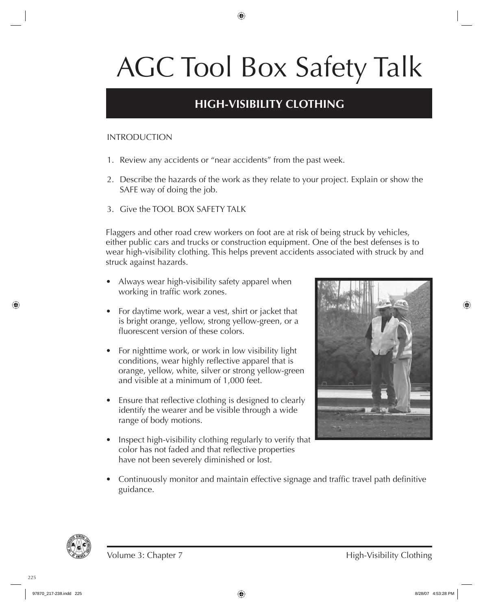### **HIGH-VISIBILITY CLOTHING**

#### INTRODUCTION

- 1. Review any accidents or "near accidents" from the past week.
- 2. Describe the hazards of the work as they relate to your project. Explain or show the SAFE way of doing the job.
- 3. Give the TOOL BOX SAFETY TALK

Flaggers and other road crew workers on foot are at risk of being struck by vehicles, either public cars and trucks or construction equipment. One of the best defenses is to wear high-visibility clothing. This helps prevent accidents associated with struck by and struck against hazards.

- Always wear high-visibility safety apparel when working in traffic work zones. •
- For daytime work, wear a vest, shirt or jacket that is bright orange, yellow, strong yellow-green, or a fluorescent version of these colors.
- For nighttime work, or work in low visibility light conditions, wear highly reflective apparel that is orange, yellow, white, silver or strong yellow-green and visible at a minimum of 1,000 feet. •
- Ensure that reflective clothing is designed to clearly identify the wearer and be visible through a wide range of body motions. •
- Inspect high-visibility clothing regularly to verify that color has not faded and that reflective properties have not been severely diminished or lost. •



• Continuously monitor and maintain effective signage and traffic travel path definitive guidance.

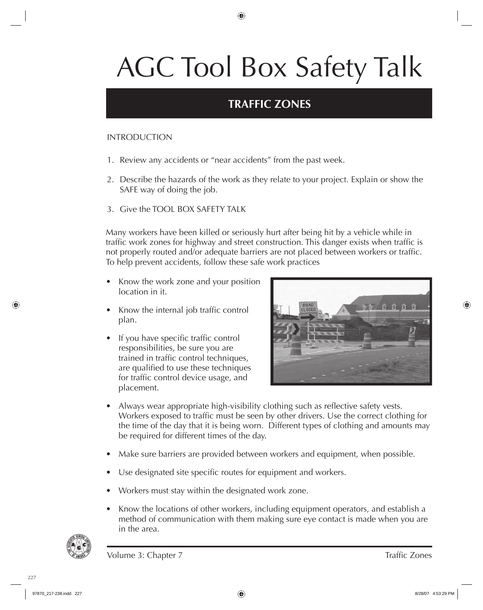### **TRAFFIC ZONES**

#### INTRODUCTION

- 1. Review any accidents or "near accidents" from the past week.
- 2. Describe the hazards of the work as they relate to your project. Explain or show the SAFE way of doing the job.
- 3. Give the TOOL BOX SAFETY TALK

Many workers have been killed or seriously hurt after being hit by a vehicle while in traffic work zones for highway and street construction. This danger exists when traffic is not properly routed and/or adequate barriers are not placed between workers or traffic. To help prevent accidents, follow these safe work practices

- Know the work zone and your position location in it.
- Know the internal job traffic control plan.
- If you have specific traffic control responsibilities, be sure you are trained in traffic control techniques, are qualified to use these techniques for traffic control device usage, and placement.



- Always wear appropriate high-visibility clothing such as reflective safety vests. Workers exposed to traffic must be seen by other drivers. Use the correct clothing for the time of the day that it is being worn. Different types of clothing and amounts may be required for different times of the day. •
- Make sure barriers are provided between workers and equipment, when possible. •
- Use designated site specific routes for equipment and workers. •
- Workers must stay within the designated work zone. •
- Know the locations of other workers, including equipment operators, and establish a method of communication with them making sure eye contact is made when you are in the area. •

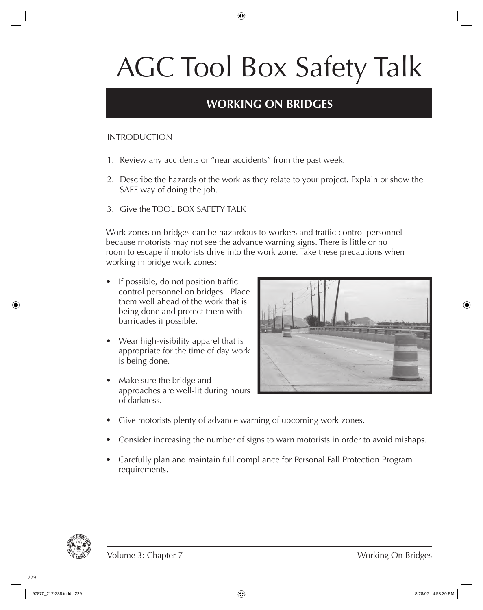### **WORKING ON BRIDGES**

#### INTRODUCTION

- 1. Review any accidents or "near accidents" from the past week.
- 2. Describe the hazards of the work as they relate to your project. Explain or show the SAFE way of doing the job.
- 3. Give the TOOL BOX SAFETY TALK

Work zones on bridges can be hazardous to workers and traffic control personnel because motorists may not see the advance warning signs. There is little or no room to escape if motorists drive into the work zone. Take these precautions when working in bridge work zones:

- If possible, do not position traffic control personnel on bridges. Place them well ahead of the work that is being done and protect them with barricades if possible. •
- Wear high-visibility apparel that is appropriate for the time of day work is being done. •
- Make sure the bridge and approaches are well-lit during hours of darkness. •



- Give motorists plenty of advance warning of upcoming work zones. •
- Consider increasing the number of signs to warn motorists in order to avoid mishaps. •
- Carefully plan and maintain full compliance for Personal Fall Protection Program requirements. •

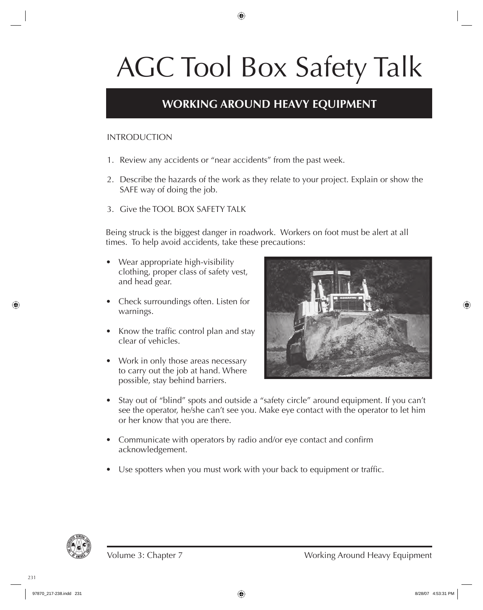### **WORKING AROUND HEAVY EQUIPMENT**

#### INTRODUCTION

- 1. Review any accidents or "near accidents" from the past week.
- 2. Describe the hazards of the work as they relate to your project. Explain or show the SAFE way of doing the job.
- 3. Give the TOOL BOX SAFETY TALK

Being struck is the biggest danger in roadwork. Workers on foot must be alert at all times. To help avoid accidents, take these precautions:

- Wear appropriate high-visibility clothing, proper class of safety vest, and head gear.
- Check surroundings often. Listen for warnings.
- Know the traffic control plan and stay clear of vehicles.
- Work in only those areas necessary to carry out the job at hand. Where possible, stay behind barriers.



- Stay out of "blind" spots and outside a "safety circle" around equipment. If you can't see the operator, he/she can't see you. Make eye contact with the operator to let him or her know that you are there. •
- Communicate with operators by radio and/or eye contact and confirm acknowledgement.
- Use spotters when you must work with your back to equipment or traffic. •

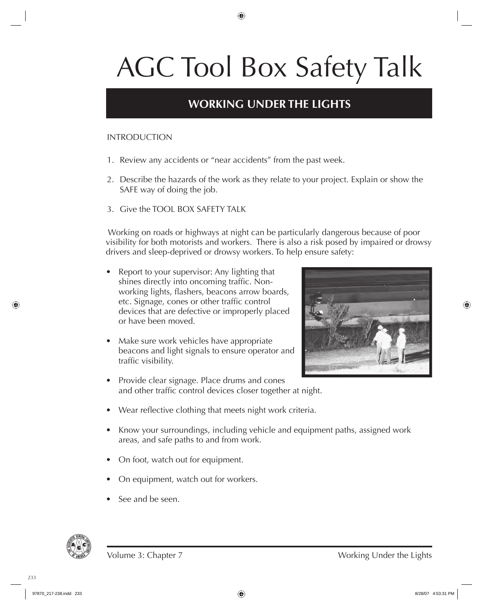### **WORKING UNDER THE LIGHTS**

#### INTRODUCTION

- 1. Review any accidents or "near accidents" from the past week.
- 2. Describe the hazards of the work as they relate to your project. Explain or show the SAFE way of doing the job.
- 3. Give the TOOL BOX SAFETY TALK

 Working on roads or highways at night can be particularly dangerous because of poor visibility for both motorists and workers. There is also a risk posed by impaired or drowsy drivers and sleep-deprived or drowsy workers. To help ensure safety:

- Report to your supervisor: Any lighting that shines directly into oncoming traffic. Nonworking lights, flashers, beacons arrow boards, etc. Signage, cones or other traffic control devices that are defective or improperly placed or have been moved. •
- Make sure work vehicles have appropriate beacons and light signals to ensure operator and traffic visibility. •



- Provide clear signage. Place drums and cones and other traffic control devices closer together at night.
- Wear reflective clothing that meets night work criteria. •
- Know your surroundings, including vehicle and equipment paths, assigned work areas, and safe paths to and from work.
- On foot, watch out for equipment. •
- On equipment, watch out for workers. •
- See and be seen. •

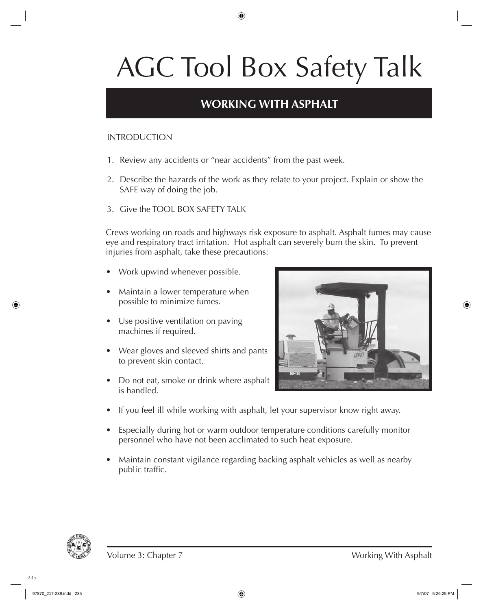### **WORKING WITH ASPHALT**

#### INTRODUCTION

- 1. Review any accidents or "near accidents" from the past week.
- 2. Describe the hazards of the work as they relate to your project. Explain or show the SAFE way of doing the job.
- 3. Give the TOOL BOX SAFETY TALK

Crews working on roads and highways risk exposure to asphalt. Asphalt fumes may cause eye and respiratory tract irritation. Hot asphalt can severely burn the skin. To prevent injuries from asphalt, take these precautions:

- Work upwind whenever possible. •
- Maintain a lower temperature when possible to minimize fumes. •
- Use positive ventilation on paving machines if required.
- Wear gloves and sleeved shirts and pants to prevent skin contact.
- Do not eat, smoke or drink where asphalt is handled.



- If you feel ill while working with asphalt, let your supervisor know right away. •
- Especially during hot or warm outdoor temperature conditions carefully monitor personnel who have not been acclimated to such heat exposure.
- Maintain constant vigilance regarding backing asphalt vehicles as well as nearby public traffic.